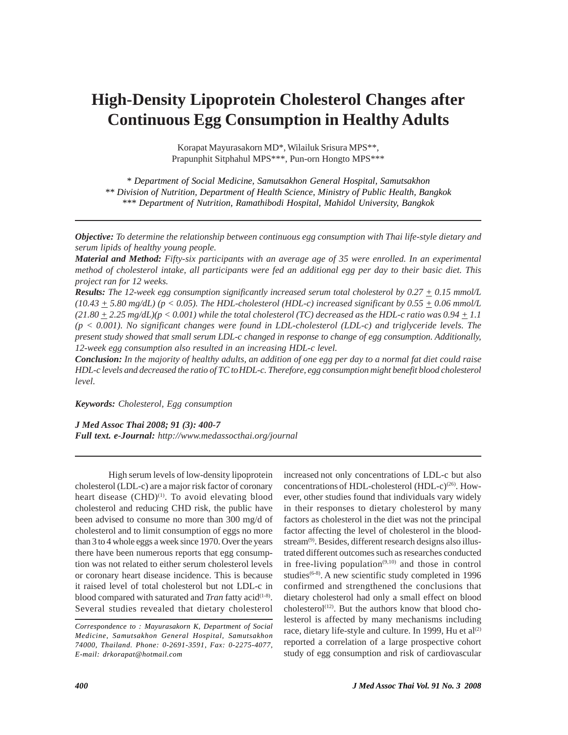# **High-Density Lipoprotein Cholesterol Changes after Continuous Egg Consumption in Healthy Adults**

Korapat Mayurasakorn MD\*, Wilailuk Srisura MPS\*\*, Prapunphit Sitphahul MPS\*\*\*, Pun-orn Hongto MPS\*\*\*

*\* Department of Social Medicine, Samutsakhon General Hospital, Samutsakhon \*\* Division of Nutrition, Department of Health Science, Ministry of Public Health, Bangkok \*\*\* Department of Nutrition, Ramathibodi Hospital, Mahidol University, Bangkok*

*Objective: To determine the relationship between continuous egg consumption with Thai life-style dietary and serum lipids of healthy young people.*

*Material and Method: Fifty-six participants with an average age of 35 were enrolled. In an experimental method of cholesterol intake, all participants were fed an additional egg per day to their basic diet. This project ran for 12 weeks.*

*Results: The 12-week egg consumption significantly increased serum total cholesterol by 0.27 + 0.15 mmol/L*  $(10.43 + 5.80 \text{ mg/dL})$  (p  $< 0.05$ ). The HDL-cholesterol (HDL-c) increased significant by  $0.55 + 0.06 \text{ mmol/L}$  $(21.80 \pm 2.25 \text{ mg/dL})$ (p < 0.001) while the total cholesterol (TC) decreased as the HDL-c ratio was  $0.94 \pm 1.1$ *(p < 0.001). No significant changes were found in LDL-cholesterol (LDL-c) and triglyceride levels. The present study showed that small serum LDL-c changed in response to change of egg consumption. Additionally, 12-week egg consumption also resulted in an increasing HDL-c level.*

*Conclusion: In the majority of healthy adults, an addition of one egg per day to a normal fat diet could raise HDL-c levels and decreased the ratio of TC toHDL-c. Therefore, egg consumption might benefit blood cholesterol level.*

*Keywords: Cholesterol, Egg consumption*

*J Med Assoc Thai 2008; 91 (3): 400-7*

*Full text. e-Journal: http://www.medassocthai.org/journal*

High serum levels of low-density lipoprotein cholesterol (LDL-c) are a major risk factor of coronary heart disease (CHD)<sup>(1)</sup>. To avoid elevating blood cholesterol and reducing CHD risk, the public have been advised to consume no more than 300 mg/d of cholesterol and to limit consumption of eggs no more than 3 to 4 whole eggs a week since 1970. Over the years there have been numerous reports that egg consumption was not related to either serum cholesterol levels or coronary heart disease incidence. This is because it raised level of total cholesterol but not LDL-c in blood compared with saturated and *Tran* fatty acid<sup>(1-8)</sup>. Several studies revealed that dietary cholesterol

increased not only concentrations of LDL-c but also concentrations of HDL-cholesterol (HDL-c)<sup>(26)</sup>. However, other studies found that individuals vary widely in their responses to dietary cholesterol by many factors as cholesterol in the diet was not the principal factor affecting the level of cholesterol in the bloodstream<sup>(9)</sup>. Besides, different research designs also illustrated different outcomes such as researches conducted in free-living population<sup> $(9,10)$ </sup> and those in control studies<sup> $(6-8)$ </sup>. A new scientific study completed in 1996 confirmed and strengthened the conclusions that dietary cholesterol had only a small effect on blood cholesterol<sup>(12)</sup>. But the authors know that blood cholesterol is affected by many mechanisms including race, dietary life-style and culture. In 1999, Hu et  $al^{(2)}$ reported a correlation of a large prospective cohort study of egg consumption and risk of cardiovascular

*Correspondence to : Mayurasakorn K, Department of Social Medicine, Samutsakhon General Hospital, Samutsakhon 74000, Thailand. Phone: 0-2691-3591, Fax: 0-2275-4077, E-mail: drkorapat@hotmail.com*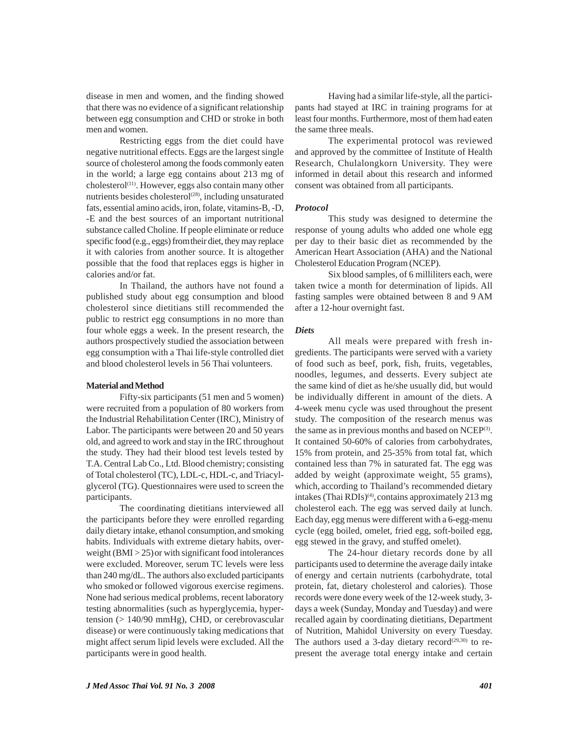disease in men and women, and the finding showed that there was no evidence of a significant relationship between egg consumption and CHD or stroke in both men and women.

Restricting eggs from the diet could have negative nutritional effects. Eggs are the largest single source of cholesterol among the foods commonly eaten in the world; a large egg contains about 213 mg of cholesterol<sup>(11)</sup>. However, eggs also contain many other nutrients besides cholesterol<sup>(28)</sup>, including unsaturated fats, essential amino acids, iron, folate, vitamins-B, -D, -E and the best sources of an important nutritional substance called Choline. If people eliminate or reduce specific food (e.g., eggs) fromtheir diet, they may replace it with calories from another source. It is altogether possible that the food that replaces eggs is higher in calories and/or fat.

In Thailand, the authors have not found a published study about egg consumption and blood cholesterol since dietitians still recommended the public to restrict egg consumptions in no more than four whole eggs a week. In the present research, the authors prospectively studied the association between egg consumption with a Thai life-style controlled diet and blood cholesterol levels in 56 Thai volunteers.

### **Material and Method**

Fifty-six participants (51 men and 5 women) were recruited from a population of 80 workers from the Industrial Rehabilitation Center (IRC), Ministry of Labor. The participants were between 20 and 50 years old, and agreed to work and stay in the IRC throughout the study. They had their blood test levels tested by T.A. Central Lab Co., Ltd. Blood chemistry; consisting of Total cholesterol (TC), LDL-c, HDL-c, and Triacylglycerol (TG). Questionnaires were used to screen the participants.

The coordinating dietitians interviewed all the participants before they were enrolled regarding daily dietary intake, ethanol consumption,and smoking habits. Individuals with extreme dietary habits, overweight  $(BMI > 25)$  or with significant food intolerances were excluded. Moreover, serum TC levels were less than 240 mg/dL. The authors also excluded participants who smoked or followed vigorous exercise regimens. None had serious medical problems, recent laboratory testing abnormalities (such as hyperglycemia, hypertension (> 140/90 mmHg), CHD, or cerebrovascular disease) or were continuously taking medications that might affect serum lipid levels were excluded. All the participants were in good health.

Having had a similar life-style, all the participants had stayed at IRC in training programs for at least four months. Furthermore, most of them had eaten the same three meals.

The experimental protocol was reviewed and approved by the committee of Institute of Health Research, Chulalongkorn University. They were informed in detail about this research and informed consent was obtained from all participants.

#### *Protocol*

This study was designed to determine the response of young adults who added one whole egg per day to their basic diet as recommended by the American Heart Association (AHA) and the National Cholesterol Education Program (NCEP).

Six blood samples, of 6 milliliters each, were taken twice a month for determination of lipids. All fasting samples were obtained between 8 and 9 AM after a 12-hour overnight fast.

#### *Diets*

All meals were prepared with fresh ingredients. The participants were served with a variety of food such as beef, pork, fish, fruits, vegetables, noodles, legumes, and desserts. Every subject ate the same kind of diet as he/she usually did, but would be individually different in amount of the diets. A 4-week menu cycle was used throughout the present study. The composition of the research menus was the same as in previous months and based on  $NCEP^{(3)}$ . It contained 50-60% of calories from carbohydrates, 15% from protein, and 25-35% from total fat, which contained less than 7% in saturated fat. The egg was added by weight (approximate weight, 55 grams), which, according to Thailand's recommended dietary intakes (Thai RDIs)<sup>(4)</sup>, contains approximately 213 mg cholesterol each. The egg was served daily at lunch. Each day, egg menus were different with a 6-egg-menu cycle (egg boiled, omelet, fried egg, soft-boiled egg, egg stewed in the gravy, and stuffed omelet).

The 24-hour dietary records done by all participants used to determine the average daily intake of energy and certain nutrients (carbohydrate, total protein, fat, dietary cholesterol and calories). Those records were done every week of the 12-week study, 3 days a week (Sunday, Monday and Tuesday) and were recalled again by coordinating dietitians, Department of Nutrition, Mahidol University on every Tuesday. The authors used a 3-day dietary record<sup> $(29,30)$ </sup> to represent the average total energy intake and certain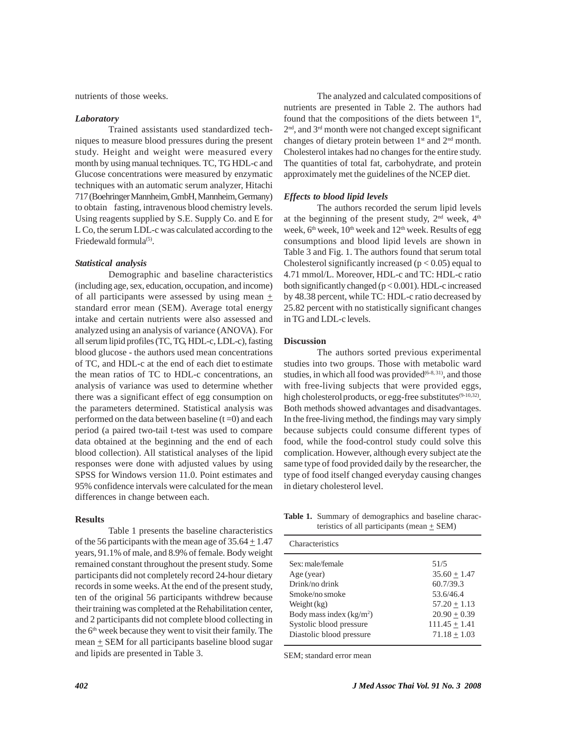nutrients of those weeks.

#### *Laboratory*

Trained assistants used standardized techniques to measure blood pressures during the present study. Height and weight were measured every month by using manual techniques. TC, TG HDL-c and Glucose concentrations were measured by enzymatic techniques with an automatic serum analyzer, Hitachi 717 (Boehringer Mannheim, GmbH, Mannheim, Germany) to obtain fasting, intravenous blood chemistry levels. Using reagents supplied by S.E. Supply Co. and E for L Co, the serum LDL-c was calculated according to the Friedewald formula<sup>(5)</sup>.

#### *Statistical analysis*

Demographic and baseline characteristics (including age, sex, education, occupation, and income) of all participants were assessed by using mean  $+$ standard error mean (SEM). Average total energy intake and certain nutrients were also assessed and analyzed using an analysis of variance (ANOVA). For all serum lipid profiles (TC, TG, HDL-c, LDL-c), fasting blood glucose - the authors used mean concentrations of TC, and HDL-c at the end of each diet to estimate the mean ratios of TC to HDL-c concentrations, an analysis of variance was used to determine whether there was a significant effect of egg consumption on the parameters determined. Statistical analysis was performed on the data between baseline  $(t=0)$  and each period (a paired two-tail t-test was used to compare data obtained at the beginning and the end of each blood collection). All statistical analyses of the lipid responses were done with adjusted values by using SPSS for Windows version 11.0. Point estimates and 95% confidence intervals were calculated for the mean differences in change between each.

# **Results**

Table 1 presents the baseline characteristics of the 56 participants with the mean age of  $35.64 \pm 1.47$ years, 91.1% of male, and 8.9% of female. Body weight remained constant throughout the present study. Some participants did not completely record 24-hour dietary records in some weeks. At the end of the present study, ten of the original 56 participants withdrew because their training was completed at the Rehabilitation center, and 2 participants did not complete blood collecting in the 6<sup>th</sup> week because they went to visit their family. The  $mean + SEM$  for all participants baseline blood sugar and lipids are presented in Table 3.

The analyzed and calculated compositions of nutrients are presented in Table 2. The authors had found that the compositions of the diets between  $1<sup>st</sup>$ , 2<sup>nd</sup>, and 3<sup>rd</sup> month were not changed except significant changes of dietary protein between  $1<sup>st</sup>$  and  $2<sup>nd</sup>$  month. Cholesterol intakes had no changes for the entire study. The quantities of total fat, carbohydrate, and protein approximately met the guidelines of the NCEP diet.

# *Effects to blood lipid levels*

The authors recorded the serum lipid levels at the beginning of the present study,  $2<sup>nd</sup>$  week,  $4<sup>th</sup>$ week, 6<sup>th</sup> week, 10<sup>th</sup> week and 12<sup>th</sup> week. Results of egg consumptions and blood lipid levels are shown in Table 3 and Fig. 1. The authors found that serum total Cholesterol significantly increased ( $p < 0.05$ ) equal to 4.71 mmol/L. Moreover, HDL-c and TC: HDL-c ratio both significantly changed (p < 0.001). HDL-c increased by 48.38 percent, while TC: HDL-c ratio decreased by 25.82 percent with no statistically significant changes in TG and LDL-c levels.

# **Discussion**

The authors sorted previous experimental studies into two groups. Those with metabolic ward studies, in which all food was provided $(6-8, 31)$ , and those with free-living subjects that were provided eggs, high cholesterol products, or egg-free substitutes<sup>(9-10,32)</sup>. Both methods showed advantages and disadvantages. In the free-living method, the findings may vary simply because subjects could consume different types of food, while the food-control study could solve this complication. However, although every subject ate the same type of food provided daily by the researcher, the type of food itself changed everyday causing changes in dietary cholesterol level.

**Table 1.** Summary of demographics and baseline characteristics of all participants (mean  $\pm$  SEM)

| Characteristics           |                   |
|---------------------------|-------------------|
| Sex: male/female          | 51/5              |
| Age (year)                | $35.60 + 1.47$    |
| Drink/no drink            | 60.7/39.3         |
| Smoke/no smoke            | 53.6/46.4         |
| Weight $(kg)$             | $57.20 + 1.13$    |
| Body mass index $(kg/m2)$ | $20.90 + 0.39$    |
| Systolic blood pressure   | $111.45 \pm 1.41$ |
| Diastolic blood pressure  | $71.18 + 1.03$    |

SEM; standard error mean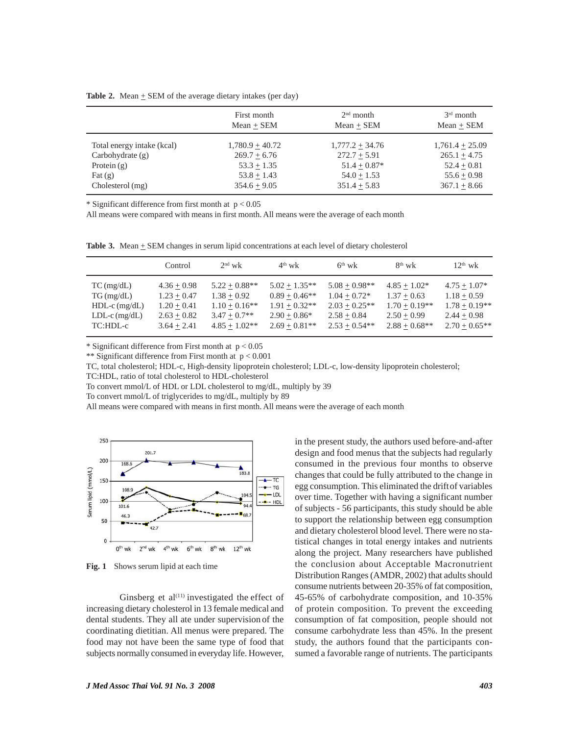|  |  |  | <b>Table 2.</b> Mean $\pm$ SEM of the average dietary intakes (per day) |  |
|--|--|--|-------------------------------------------------------------------------|--|
|--|--|--|-------------------------------------------------------------------------|--|

|                            | First month       | $2nd$ month       | $3rd$ month       |
|----------------------------|-------------------|-------------------|-------------------|
|                            | $Mean + SEM$      | $Mean + SEM$      | $Mean + SEM$      |
| Total energy intake (kcal) | $1,780.9 + 40.72$ | $1,777.2 + 34.76$ | $1,761.4 + 25.09$ |
| Carbohydrate $(g)$         | $269.7 + 6.76$    | $272.7 + 5.91$    | $265.1 + 4.75$    |
| Protein $(g)$              | $53.3 + 1.35$     | $51.4 + 0.87*$    | $52.4 + 0.81$     |
| $\text{Fat}(\mathbf{g})$   | $53.8 + 1.43$     | $54.0 + 1.53$     | $55.6 + 0.98$     |
| Cholesterol (mg)           | $354.6 + 9.05$    | $351.4 + 5.83$    | $367.1 + 8.66$    |

 $*$  Significant difference from first month at  $p < 0.05$ 

All means were compared with means in first month. All means were the average of each month

**Table 3.** Mean  $\pm$  SEM changes in serum lipid concentrations at each level of dietary cholesterol

|                 | Control       | $2nd$ wk        | $4th$ wk        | $6th$ wk        | $8^{th}$ wk     | $12^{th}$ wk    |
|-----------------|---------------|-----------------|-----------------|-----------------|-----------------|-----------------|
| $TC$ (mg/dL)    | $4.36 + 0.98$ | $5.22 + 0.88**$ | $5.02 + 1.35**$ | $5.08 + 0.98**$ | $4.85 + 1.02*$  | $4.75 + 1.07*$  |
| $TG$ (mg/dL)    | $1.23 + 0.47$ | $1.38 + 0.92$   | $0.89 + 0.46**$ | $1.04 + 0.72*$  | $1.37 + 0.63$   | $1.18 + 0.59$   |
| $HDL-c$ (mg/dL) | $1.20 + 0.41$ | $1.10 + 0.16**$ | $1.91 + 0.32**$ | $2.03 + 0.25**$ | $1.70 + 0.19**$ | $1.78 + 0.19**$ |
| $LDL-c$ (mg/dL) | $2.63 + 0.82$ | $3.47 + 0.7**$  | $2.90 + 0.86*$  | $2.58 + 0.84$   | $2.50 + 0.99$   | $2.44 + 0.98$   |
| TC:HDL-c        | $3.64 + 2.41$ | $4.85 + 1.02**$ | $2.69 + 0.81**$ | $2.53 + 0.54**$ | $2.88 + 0.68**$ | $2.70 + 0.65**$ |

\* Significant difference from First month at  $p < 0.05$ 

\*\* Significant difference from First month at  $p < 0.001$ 

TC, total cholesterol; HDL-c, High-density lipoprotein cholesterol; LDL-c, low-density lipoprotein cholesterol;

TC:HDL, ratio of total cholesterol to HDL-cholesterol

To convert mmol/L of HDL or LDL cholesterol to mg/dL, multiply by 39

To convert mmol/L of triglycerides to mg/dL, multiply by 89

All means were compared with means in first month. All means were the average of each month



**Fig. 1** Shows serum lipid at each time

Ginsberg et  $al^{(11)}$  investigated the effect of increasing dietary cholesterol in 13 female medical and dental students. They all ate under supervision of the coordinating dietitian. All menus were prepared. The food may not have been the same type of food that subjects normally consumed in everyday life. However,

in the present study, the authors used before-and-after design and food menus that the subjects had regularly consumed in the previous four months to observe changes that could be fully attributed to the change in egg consumption. This eliminated the driftof variables over time. Together with having a significant number of subjects - 56 participants, this study should be able to support the relationship between egg consumption and dietary cholesterol blood level. There were no statistical changes in total energy intakes and nutrients along the project. Many researchers have published the conclusion about Acceptable Macronutrient Distribution Ranges (AMDR, 2002) that adults should consume nutrients between 20-35% of fat composition, 45-65% of carbohydrate composition, and 10-35% of protein composition. To prevent the exceeding consumption of fat composition, people should not consume carbohydrate less than 45%. In the present study, the authors found that the participants consumed a favorable range of nutrients. The participants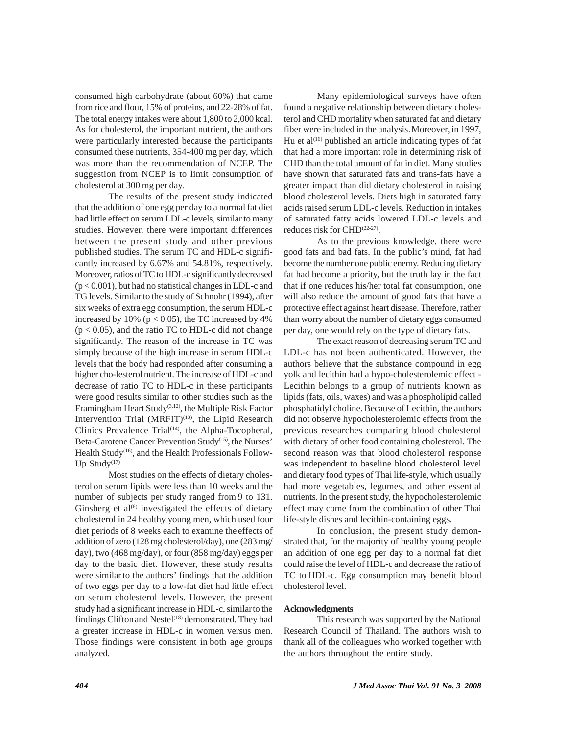consumed high carbohydrate (about 60%) that came from rice and flour, 15% of proteins, and 22-28% of fat. The total energy intakes were about 1,800 to 2,000 kcal. As for cholesterol, the important nutrient, the authors were particularly interested because the participants consumed these nutrients, 354-400 mg per day, which was more than the recommendation of NCEP. The suggestion from NCEP is to limit consumption of cholesterol at 300 mg per day.

The results of the present study indicated that the addition of one egg per day to a normal fat diet had little effect on serum LDL-c levels, similar to many studies. However, there were important differences between the present study and other previous published studies. The serum TC and HDL-c significantly increased by 6.67% and 54.81%, respectively. Moreover, ratios of TC to HDL-c significantly decreased (p < 0.001), but had no statistical changes in LDL-c and TG levels. Similar to the study of Schnohr (1994), after six weeks of extra egg consumption, the serum HDL-c increased by 10% ( $p < 0.05$ ), the TC increased by 4%  $(p < 0.05)$ , and the ratio TC to HDL-c did not change significantly. The reason of the increase in TC was simply because of the high increase in serum HDL-c levels that the body had responded after consuming a higher cho-lesterol nutrient. The increase of HDL-c and decrease of ratio TC to HDL-c in these participants were good results similar to other studies such as the Framingham Heart Study(3,12), the Multiple Risk Factor Intervention Trial (MRFIT)<sup>(13)</sup>, the Lipid Research Clinics Prevalence Trial<sup>(14)</sup>, the Alpha-Tocopheral, Beta-Carotene Cancer Prevention Study<sup>(15)</sup>, the Nurses' Health Study(16), and the Health Professionals Follow-Up Study $(17)$ .

Most studies on the effects of dietary cholesterol on serum lipids were less than 10 weeks and the number of subjects per study ranged from 9 to 131. Ginsberg et al $^{(6)}$  investigated the effects of dietary cholesterol in 24 healthy young men, which used four diet periods of 8 weeks each to examine the effects of addition of zero (128 mg cholesterol/day), one (283 mg/ day), two (468 mg/day), or four (858 mg/day) eggs per day to the basic diet. However, these study results were similar to the authors' findings that the addition of two eggs per day to a low-fat diet had little effect on serum cholesterol levels. However, the present study had a significant increase in HDL-c, similarto the findings Clifton and Nestel<sup>(18)</sup> demonstrated. They had a greater increase in HDL-c in women versus men. Those findings were consistent in both age groups analyzed.

Many epidemiological surveys have often found a negative relationship between dietary cholesterol and CHD mortality when saturated fat and dietary fiber were included in the analysis.Moreover, in 1997, Hu et al $^{(16)}$  published an article indicating types of fat that had a more important role in determining risk of CHD than the total amount of fat in diet. Many studies have shown that saturated fats and trans-fats have a greater impact than did dietary cholesterol in raising blood cholesterol levels. Diets high in saturated fatty acids raised serum LDL-c levels. Reduction in intakes of saturated fatty acids lowered LDL-c levels and reduces risk for CHD<sup>(22-27)</sup>.

As to the previous knowledge, there were good fats and bad fats. In the public's mind, fat had become the number one public enemy. Reducing dietary fat had become a priority, but the truth lay in the fact that if one reduces his/her total fat consumption, one will also reduce the amount of good fats that have a protective effect against heart disease. Therefore, rather than worry about the number of dietary eggs consumed per day, one would rely on the type of dietary fats.

The exact reason of decreasing serum TC and LDL-c has not been authenticated. However, the authors believe that the substance compound in egg yolk and lecithin had a hypo-cholesterolemic effect - Lecithin belongs to a group of nutrients known as lipids (fats, oils, waxes) and was a phospholipid called phosphatidyl choline. Because of Lecithin, the authors did not observe hypocholesterolemic effects from the previous researches comparing blood cholesterol with dietary of other food containing cholesterol. The second reason was that blood cholesterol response was independent to baseline blood cholesterol level and dietary food types of Thai life-style, which usually had more vegetables, legumes, and other essential nutrients. In the present study, the hypocholesterolemic effect may come from the combination of other Thai life-style dishes and lecithin-containing eggs.

In conclusion, the present study demonstrated that, for the majority of healthy young people an addition of one egg per day to a normal fat diet could raise the level of HDL-c and decrease the ratio of TC to HDL-c. Egg consumption may benefit blood cholesterol level.

### **Acknowledgments**

This research was supported by the National Research Council of Thailand. The authors wish to thank all of the colleagues who worked together with the authors throughout the entire study.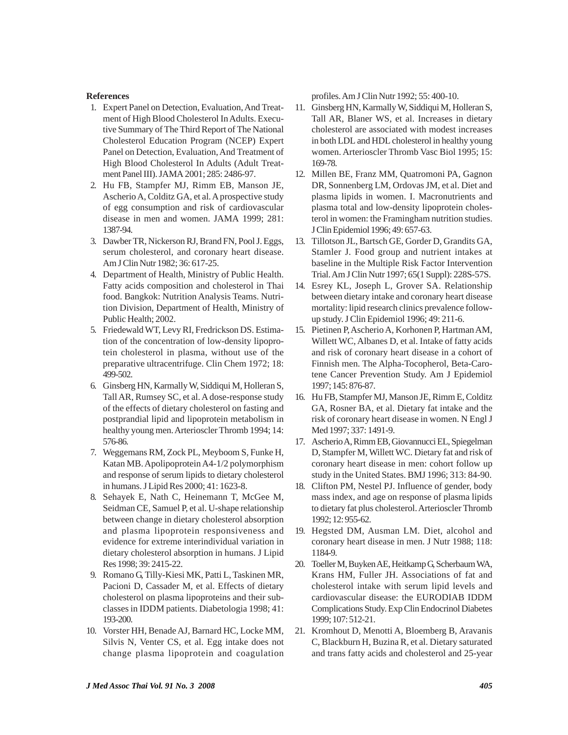# **References**

- 1. Expert Panel on Detection, Evaluation, And Treatment of High Blood Cholesterol In Adults. Executive Summary of The Third Report of The National Cholesterol Education Program (NCEP) Expert Panel on Detection, Evaluation, And Treatment of High Blood Cholesterol In Adults (Adult Treatment Panel III). JAMA 2001; 285: 2486-97.
- 2. Hu FB, Stampfer MJ, Rimm EB, Manson JE, Ascherio A, Colditz GA, et al. A prospective study of egg consumption and risk of cardiovascular disease in men and women. JAMA 1999; 281: 1387-94.
- 3. Dawber TR, Nickerson RJ, Brand FN, Pool J. Eggs, serum cholesterol, and coronary heart disease. Am J Clin Nutr 1982; 36: 617-25.
- 4. Department of Health, Ministry of Public Health. Fatty acids composition and cholesterol in Thai food. Bangkok: Nutrition Analysis Teams. Nutrition Division, Department of Health, Ministry of Public Health; 2002.
- 5. Friedewald WT, Levy RI, Fredrickson DS. Estimation of the concentration of low-density lipoprotein cholesterol in plasma, without use of the preparative ultracentrifuge. Clin Chem 1972; 18: 499-502.
- 6. Ginsberg HN, Karmally W, Siddiqui M, Holleran S, Tall AR, Rumsey SC, et al. A dose-response study of the effects of dietary cholesterol on fasting and postprandial lipid and lipoprotein metabolism in healthy young men. Arterioscler Thromb 1994; 14: 576-86.
- 7. Weggemans RM, Zock PL, Meyboom S, Funke H, Katan MB. Apolipoprotein A4-1/2 polymorphism and response of serum lipids to dietary cholesterol in humans. J Lipid Res 2000; 41: 1623-8.
- 8. Sehayek E, Nath C, Heinemann T, McGee M, Seidman CE, Samuel P, et al. U-shape relationship between change in dietary cholesterol absorption and plasma lipoprotein responsiveness and evidence for extreme interindividual variation in dietary cholesterol absorption in humans. J Lipid Res 1998; 39: 2415-22.
- 9. Romano G, Tilly-Kiesi MK, Patti L, Taskinen MR, Pacioni D, Cassader M, et al. Effects of dietary cholesterol on plasma lipoproteins and their subclasses in IDDM patients. Diabetologia 1998; 41: 193-200.
- 10. Vorster HH, Benade AJ, Barnard HC, Locke MM, Silvis N, Venter CS, et al. Egg intake does not change plasma lipoprotein and coagulation

profiles. Am J Clin Nutr 1992; 55: 400-10.

- 11. Ginsberg HN, Karmally W, Siddiqui M, Holleran S, Tall AR, Blaner WS, et al. Increases in dietary cholesterol are associated with modest increases in both LDL and HDL cholesterol in healthy young women. Arterioscler Thromb Vasc Biol 1995; 15: 169-78.
- 12. Millen BE, Franz MM, Quatromoni PA, Gagnon DR, Sonnenberg LM, Ordovas JM, et al. Diet and plasma lipids in women. I. Macronutrients and plasma total and low-density lipoprotein cholesterol in women: the Framingham nutrition studies. J Clin Epidemiol 1996; 49: 657-63.
- 13. Tillotson JL, Bartsch GE, Gorder D, Grandits GA, Stamler J. Food group and nutrient intakes at baseline in the Multiple Risk Factor Intervention Trial. Am J Clin Nutr 1997; 65(1 Suppl): 228S-57S.
- 14. Esrey KL, Joseph L, Grover SA. Relationship between dietary intake and coronary heart disease mortality: lipid research clinics prevalence followup study. J Clin Epidemiol 1996; 49: 211-6.
- 15. Pietinen P, Ascherio A, Korhonen P, Hartman AM, Willett WC, Albanes D, et al. Intake of fatty acids and risk of coronary heart disease in a cohort of Finnish men. The Alpha-Tocopherol, Beta-Carotene Cancer Prevention Study. Am J Epidemiol 1997; 145: 876-87.
- 16. Hu FB, Stampfer MJ, Manson JE, Rimm E, Colditz GA, Rosner BA, et al. Dietary fat intake and the risk of coronary heart disease in women. N Engl J Med 1997; 337: 1491-9.
- 17. Ascherio A, Rimm EB, Giovannucci EL, Spiegelman D, Stampfer M, Willett WC. Dietary fat and risk of coronary heart disease in men: cohort follow up study in the United States. BMJ 1996; 313: 84-90.
- 18. Clifton PM, Nestel PJ. Influence of gender, body mass index, and age on response of plasma lipids to dietary fat plus cholesterol. Arterioscler Thromb 1992; 12: 955-62.
- 19. Hegsted DM, Ausman LM. Diet, alcohol and coronary heart disease in men. J Nutr 1988; 118: 1184-9.
- 20. Toeller M, Buyken AE, Heitkamp G, Scherbaum WA, Krans HM, Fuller JH. Associations of fat and cholesterol intake with serum lipid levels and cardiovascular disease: the EURODIAB IDDM Complications Study. Exp Clin Endocrinol Diabetes 1999; 107: 512-21.
- 21. Kromhout D, Menotti A, Bloemberg B, Aravanis C, Blackburn H, Buzina R, et al. Dietary saturated and trans fatty acids and cholesterol and 25-year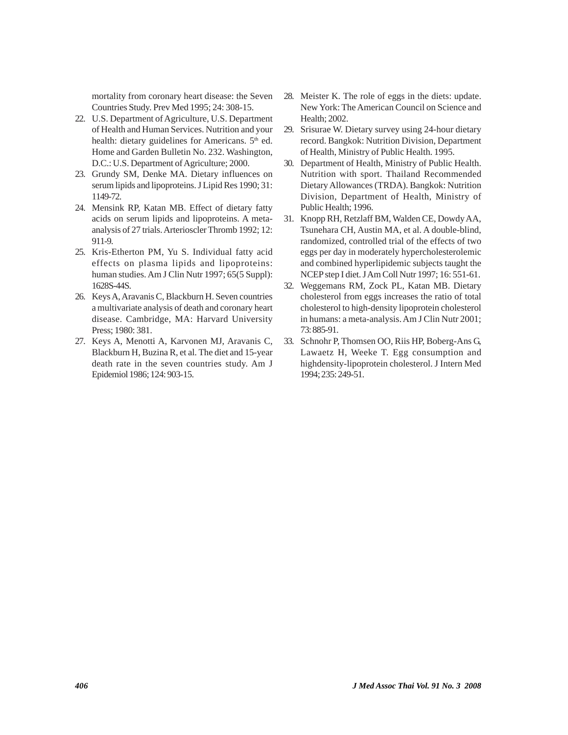mortality from coronary heart disease: the Seven Countries Study. Prev Med 1995; 24: 308-15.

- 22. U.S. Department of Agriculture, U.S. Department of Health and Human Services. Nutrition and your health: dietary guidelines for Americans.  $5<sup>th</sup>$  ed. Home and Garden Bulletin No. 232. Washington, D.C.: U.S. Department of Agriculture; 2000.
- 23. Grundy SM, Denke MA. Dietary influences on serum lipids and lipoproteins. J Lipid Res 1990; 31: 1149-72.
- 24. Mensink RP, Katan MB. Effect of dietary fatty acids on serum lipids and lipoproteins. A metaanalysis of 27 trials. Arterioscler Thromb 1992; 12: 911-9.
- 25. Kris-Etherton PM, Yu S. Individual fatty acid effects on plasma lipids and lipoproteins: human studies. Am J Clin Nutr 1997; 65(5 Suppl): 1628S-44S.
- 26. Keys A, Aravanis C, Blackburn H. Seven countries a multivariate analysis of death and coronary heart disease. Cambridge, MA: Harvard University Press; 1980: 381.
- 27. Keys A, Menotti A, Karvonen MJ, Aravanis C, Blackburn H, Buzina R, et al. The diet and 15-year death rate in the seven countries study. Am J Epidemiol 1986; 124: 903-15.
- 28. Meister K. The role of eggs in the diets: update. New York: The American Council on Science and Health; 2002.
- 29. Srisurae W. Dietary survey using 24-hour dietary record. Bangkok: Nutrition Division, Department of Health, Ministry of Public Health. 1995.
- 30. Department of Health, Ministry of Public Health. Nutrition with sport. Thailand Recommended Dietary Allowances (TRDA). Bangkok: Nutrition Division, Department of Health, Ministry of Public Health; 1996.
- 31. Knopp RH, Retzlaff BM, Walden CE, Dowdy AA, Tsunehara CH, Austin MA, et al. A double-blind, randomized, controlled trial of the effects of two eggs per day in moderately hypercholesterolemic and combined hyperlipidemic subjects taught the NCEP step I diet. J Am Coll Nutr 1997; 16: 551-61.
- 32. Weggemans RM, Zock PL, Katan MB. Dietary cholesterol from eggs increases the ratio of total cholesterol to high-density lipoprotein cholesterol in humans: a meta-analysis. Am J Clin Nutr 2001; 73: 885-91.
- 33. Schnohr P, Thomsen OO, Riis HP, Boberg-Ans G, Lawaetz H, Weeke T. Egg consumption and highdensity-lipoprotein cholesterol. J Intern Med 1994; 235: 249-51.